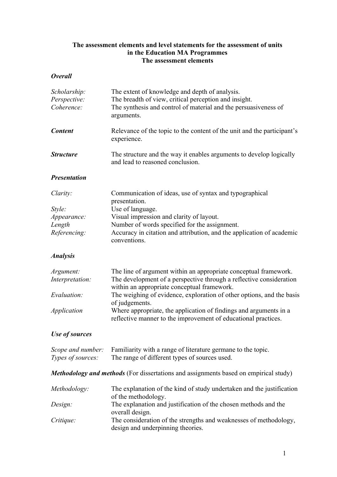# **The assessment elements and level statements for the assessment of units in the Education MA Programmes The assessment elements**

## *Overall*

| Scholarship:<br>Perspective:<br>Coherence: | The extent of knowledge and depth of analysis.<br>The breadth of view, critical perception and insight.<br>The synthesis and control of material and the persuasiveness of<br>arguments. |
|--------------------------------------------|------------------------------------------------------------------------------------------------------------------------------------------------------------------------------------------|
| <b>Content</b>                             | Relevance of the topic to the content of the unit and the participant's<br>experience.                                                                                                   |
| <b>Structure</b>                           | The structure and the way it enables arguments to develop logically<br>and lead to reasoned conclusion.                                                                                  |
| <b>Presentation</b>                        |                                                                                                                                                                                          |
| Clarity:                                   | Communication of ideas, use of syntax and typographical<br>presentation.                                                                                                                 |
| Style:                                     | Use of language.                                                                                                                                                                         |
| Appearance:                                | Visual impression and clarity of layout.                                                                                                                                                 |
| Length<br>Referencing:                     | Number of words specified for the assignment.<br>Accuracy in citation and attribution, and the application of academic<br>conventions.                                                   |
| <b>Analysis</b>                            |                                                                                                                                                                                          |
| Argument:<br>Interpretation:               | The line of argument within an appropriate conceptual framework.<br>The development of a perspective through a reflective consideration<br>within an appropriate conceptual framework.   |
| Evaluation:                                | The weighing of evidence, exploration of other options, and the basis<br>of judgements.                                                                                                  |
| <i>Application</i>                         | Where appropriate, the application of findings and arguments in a<br>reflective manner to the improvement of educational practices.                                                      |
| Use of sources                             |                                                                                                                                                                                          |
| Scope and number:<br>Types of sources:     | Familiarity with a range of literature germane to the topic.<br>The range of different types of sources used.                                                                            |
|                                            | <b>Methodology and methods</b> (For dissertations and assignments based on empirical study)                                                                                              |
| Methodology:                               | The explanation of the kind of study undertaken and the justification<br>of the methodology.                                                                                             |
| Design:                                    | The explanation and justification of the chosen methods and the<br>overall design.                                                                                                       |
| Critique:                                  | The consideration of the strengths and weaknesses of methodology,<br>design and underpinning theories.                                                                                   |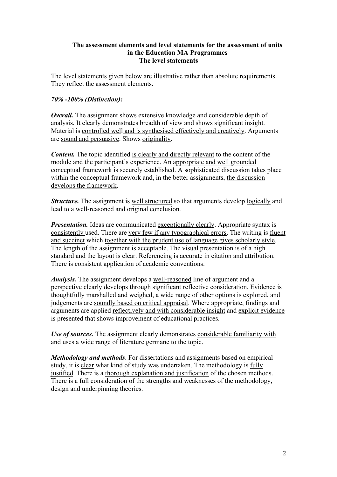## **The assessment elements and level statements for the assessment of units in the Education MA Programmes The level statements**

The level statements given below are illustrative rather than absolute requirements. They reflect the assessment elements.

## *70% -100% (Distinction):*

*Overall.* The assignment shows extensive knowledge and considerable depth of analysis. It clearly demonstrates breadth of view and shows significant insight. Material is controlled well and is synthesised effectively and creatively. Arguments are sound and persuasive. Shows originality.

**Content.** The topic identified is clearly and directly relevant to the content of the module and the participant's experience. An appropriate and well grounded conceptual framework is securely established. A sophisticated discussion takes place within the conceptual framework and, in the better assignments, the discussion develops the framework.

*Structure*. The assignment is well structured so that arguments develop logically and lead to a well-reasoned and original conclusion.

*Presentation.* Ideas are communicated exceptionally clearly. Appropriate syntax is consistently used. There are very few if any typographical errors. The writing is fluent and succinct which together with the prudent use of language gives scholarly style. The length of the assignment is acceptable. The visual presentation is of a high standard and the layout is clear. Referencing is accurate in citation and attribution. There is consistent application of academic conventions.

*Analysis.* The assignment develops a well-reasoned line of argument and a perspective clearly develops through significant reflective consideration. Evidence is thoughtfully marshalled and weighed, a wide range of other options is explored, and judgements are soundly based on critical appraisal. Where appropriate, findings and arguments are applied reflectively and with considerable insight and explicit evidence is presented that shows improvement of educational practices.

*Use of sources.* The assignment clearly demonstrates considerable familiarity with and uses a wide range of literature germane to the topic.

*Methodology and methods*. For dissertations and assignments based on empirical study, it is clear what kind of study was undertaken. The methodology is fully justified. There is a thorough explanation and justification of the chosen methods. There is a full consideration of the strengths and weaknesses of the methodology, design and underpinning theories.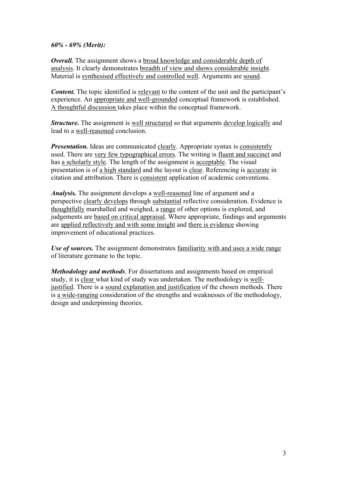#### *60% - 69% (Merit):*

*Overall.* The assignment shows a broad knowledge and considerable depth of analysis. It clearly demonstrates breadth of view and shows considerable insight. Material is synthesised effectively and controlled well. Arguments are sound.

*Content.* The topic identified is relevant to the content of the unit and the participant's experience. An appropriate and well-grounded conceptual framework is established. A thoughtful discussion takes place within the conceptual framework.

*Structure*. The assignment is well structured so that arguments develop logically and lead to a well-reasoned conclusion.

*Presentation.* Ideas are communicated clearly. Appropriate syntax is consistently used. There are very few typographical errors. The writing is fluent and succinct and has a scholarly style. The length of the assignment is acceptable. The visual presentation is of a high standard and the layout is clear. Referencing is accurate in citation and attribution. There is consistent application of academic conventions.

*Analysis.* The assignment develops a well-reasoned line of argument and a perspective clearly develops through substantial reflective consideration. Evidence is thoughtfully marshalled and weighed, a range of other options is explored, and judgements are based on critical appraisal. Where appropriate, findings and arguments are applied reflectively and with some insight and there is evidence showing improvement of educational practices.

*Use of sources.* The assignment demonstrates familiarity with and uses a wide range of literature germane to the topic.

*Methodology and methods*. For dissertations and assignments based on empirical study, it is clear what kind of study was undertaken. The methodology is welljustified. There is a sound explanation and justification of the chosen methods. There is a wide-ranging consideration of the strengths and weaknesses of the methodology, design and underpinning theories.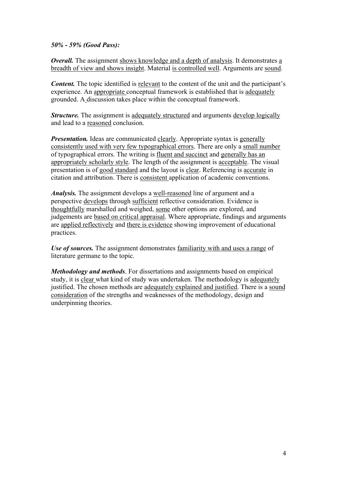*50% - 59% (Good Pass):*

*Overall.* The assignment shows knowledge and a depth of analysis. It demonstrates a breadth of view and shows insight. Material is controlled well. Arguments are sound.

*Content.* The topic identified is relevant to the content of the unit and the participant's experience. An appropriate conceptual framework is established that is adequately grounded. A discussion takes place within the conceptual framework.

*Structure.* The assignment is adequately structured and arguments develop logically and lead to a reasoned conclusion.

*Presentation.* Ideas are communicated clearly. Appropriate syntax is generally consistently used with very few typographical errors. There are only a small number of typographical errors. The writing is fluent and succinct and generally has an appropriately scholarly style. The length of the assignment is acceptable. The visual presentation is of good standard and the layout is clear. Referencing is accurate in citation and attribution. There is consistent application of academic conventions.

*Analysis.* The assignment develops a well-reasoned line of argument and a perspective develops through sufficient reflective consideration. Evidence is thoughtfully marshalled and weighed, some other options are explored, and judgements are based on critical appraisal. Where appropriate, findings and arguments are applied reflectively and there is evidence showing improvement of educational practices.

*Use of sources.* The assignment demonstrates familiarity with and uses a range of literature germane to the topic.

*Methodology and methods*. For dissertations and assignments based on empirical study, it is clear what kind of study was undertaken. The methodology is adequately justified. The chosen methods are adequately explained and justified. There is a sound consideration of the strengths and weaknesses of the methodology, design and underpinning theories.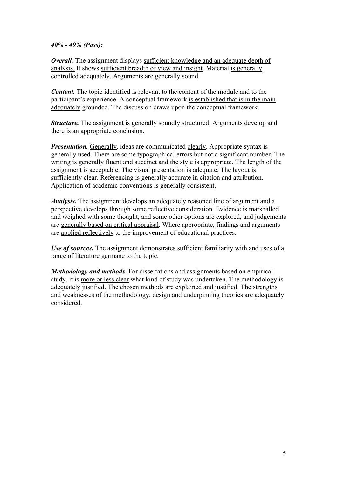## *40% - 49% (Pass):*

*Overall.* The assignment displays sufficient knowledge and an adequate depth of analysis. It shows sufficient breadth of view and insight. Material is generally controlled adequately. Arguments are generally sound.

*Content.* The topic identified is relevant to the content of the module and to the participant's experience. A conceptual framework is established that is in the main adequately grounded. The discussion draws upon the conceptual framework.

*Structure.* The assignment is generally soundly structured. Arguments develop and there is an appropriate conclusion.

*Presentation.* Generally, ideas are communicated clearly. Appropriate syntax is generally used. There are some typographical errors but not a significant number. The writing is generally fluent and succinct and the style is appropriate. The length of the assignment is acceptable. The visual presentation is adequate. The layout is sufficiently clear. Referencing is generally accurate in citation and attribution. Application of academic conventions is generally consistent.

*Analysis.* The assignment develops an adequately reasoned line of argument and a perspective develops through some reflective consideration. Evidence is marshalled and weighed with some thought, and some other options are explored, and judgements are generally based on critical appraisal. Where appropriate, findings and arguments are applied reflectively to the improvement of educational practices.

*Use of sources.* The assignment demonstrates sufficient familiarity with and uses of a range of literature germane to the topic.

*Methodology and methods*. For dissertations and assignments based on empirical study, it is more or less clear what kind of study was undertaken. The methodology is adequately justified. The chosen methods are explained and justified. The strengths and weaknesses of the methodology, design and underpinning theories are adequately considered.